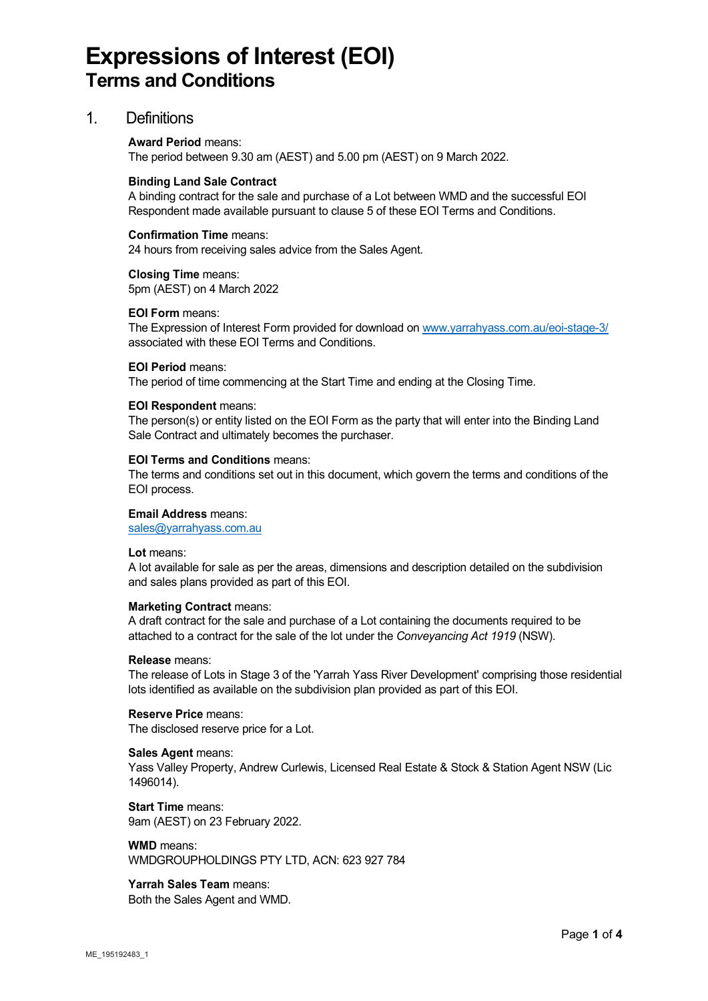# **Expressions of Interest (EOI) Terms and Conditions**

### 1. Definitions

#### **Award Period** means:

The period between 9.30 am (AEST) and 5.00 pm (AEST) on 9 March 2022.

#### **Binding Land Sale Contract**

A binding contract for the sale and purchase of a Lot between WMD and the successful EOI Respondent made available pursuant to clause 5 of these EOI Terms and Conditions.

#### **Confirmation Time** means:

24 hours from receiving sales advice from the Sales Agent.

**Closing Time** means: 5pm (AEST) on 4 March 2022

#### **EOI Form** means:

The Expression of Interest Form provided for download on [www.yarrahyass.com.au/eoi-stage-3/](http://www.yarrahyass.com.au/eoi-stage-3/) associated with these EOI Terms and Conditions.

#### **EOI Period** means:

The period of time commencing at the Start Time and ending at the Closing Time.

#### **EOI Respondent** means:

The person(s) or entity listed on the EOI Form as the party that will enter into the Binding Land Sale Contract and ultimately becomes the purchaser.

#### **EOI Terms and Conditions** means:

The terms and conditions set out in this document, which govern the terms and conditions of the EOI process.

#### **Email Address** means:

[sales@yarrahyass.com.au](mailto:sales@yarrahyass.com.au)

**Lot** means:

A lot available for sale as per the areas, dimensions and description detailed on the subdivision and sales plans provided as part of this EOI.

#### **Marketing Contract** means:

A draft contract for the sale and purchase of a Lot containing the documents required to be attached to a contract for the sale of the lot under the *Conveyancing Act 1919* (NSW).

#### **Release** means:

The release of Lots in Stage 3 of the 'Yarrah Yass River Development' comprising those residential lots identified as available on the subdivision plan provided as part of this EOI.

**Reserve Price** means: The disclosed reserve price for a Lot.

#### **Sales Agent** means:

Yass Valley Property, Andrew Curlewis, Licensed Real Estate & Stock & Station Agent NSW (Lic 1496014).

**Start Time** means: 9am (AEST) on 23 February 2022.

**WMD** means: WMDGROUPHOLDINGS PTY LTD, ACN: 623 927 784

#### **Yarrah Sales Team** means:

Both the Sales Agent and WMD.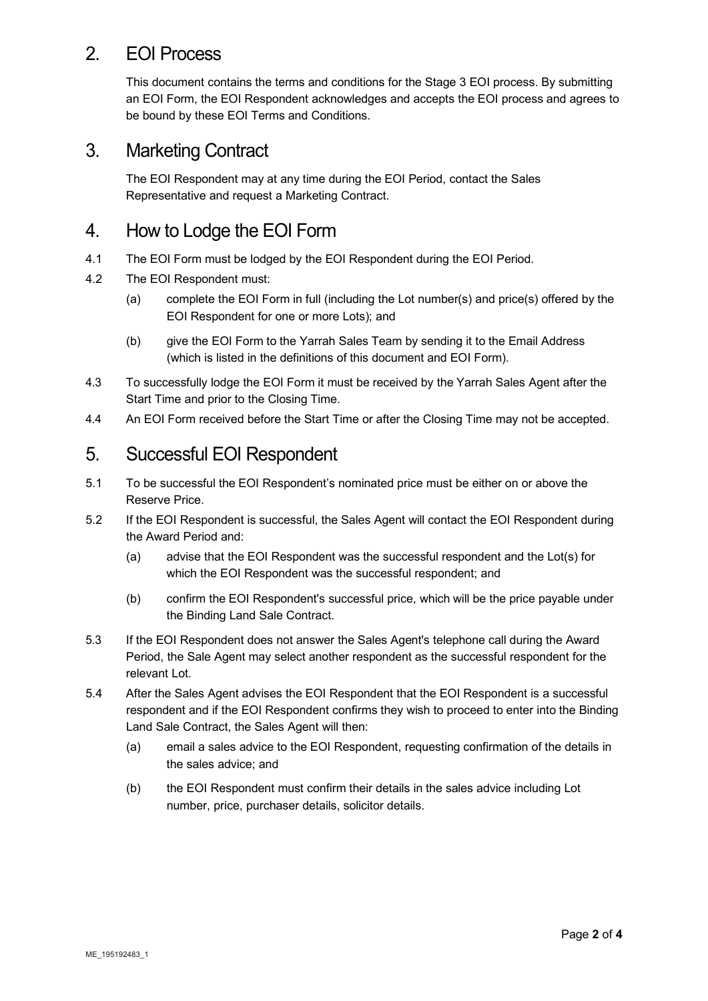### 2. EOI Process

This document contains the terms and conditions for the Stage 3 EOI process. By submitting an EOI Form, the EOI Respondent acknowledges and accepts the EOI process and agrees to be bound by these EOI Terms and Conditions.

### 3. Marketing Contract

The EOI Respondent may at any time during the EOI Period, contact the Sales Representative and request a Marketing Contract.

### 4. How to Lodge the EOI Form

- 4.1 The EOI Form must be lodged by the EOI Respondent during the EOI Period.
- 4.2 The EOI Respondent must:
	- (a) complete the EOI Form in full (including the Lot number(s) and price(s) offered by the EOI Respondent for one or more Lots); and
	- (b) give the EOI Form to the Yarrah Sales Team by sending it to the Email Address (which is listed in the definitions of this document and EOI Form).
- 4.3 To successfully lodge the EOI Form it must be received by the Yarrah Sales Agent after the Start Time and prior to the Closing Time.
- 4.4 An EOI Form received before the Start Time or after the Closing Time may not be accepted.

### 5. Successful EOI Respondent

- 5.1 To be successful the EOI Respondent's nominated price must be either on or above the Reserve Price.
- 5.2 If the EOI Respondent is successful, the Sales Agent will contact the EOI Respondent during the Award Period and:
	- (a) advise that the EOI Respondent was the successful respondent and the Lot(s) for which the EOI Respondent was the successful respondent; and
	- (b) confirm the EOI Respondent's successful price, which will be the price payable under the Binding Land Sale Contract.
- 5.3 If the EOI Respondent does not answer the Sales Agent's telephone call during the Award Period, the Sale Agent may select another respondent as the successful respondent for the relevant Lot.
- 5.4 After the Sales Agent advises the EOI Respondent that the EOI Respondent is a successful respondent and if the EOI Respondent confirms they wish to proceed to enter into the Binding Land Sale Contract, the Sales Agent will then:
	- (a) email a sales advice to the EOI Respondent, requesting confirmation of the details in the sales advice; and
	- (b) the EOI Respondent must confirm their details in the sales advice including Lot number, price, purchaser details, solicitor details.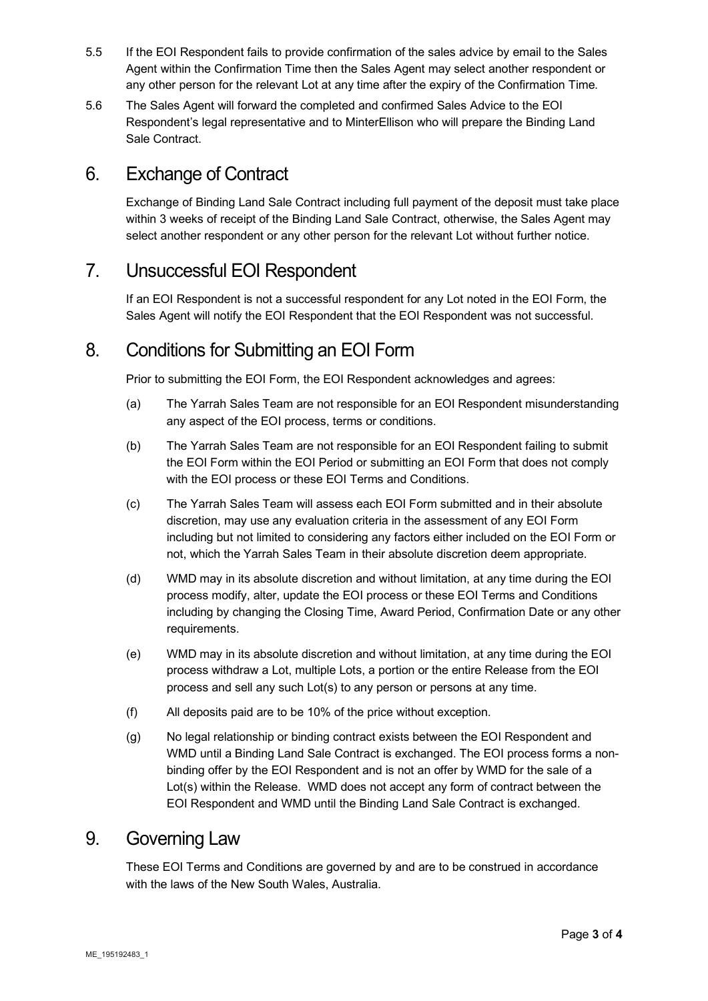- 5.5 If the EOI Respondent fails to provide confirmation of the sales advice by email to the Sales Agent within the Confirmation Time then the Sales Agent may select another respondent or any other person for the relevant Lot at any time after the expiry of the Confirmation Time.
- 5.6 The Sales Agent will forward the completed and confirmed Sales Advice to the EOI Respondent's legal representative and to MinterEllison who will prepare the Binding Land Sale Contract.

### 6. Exchange of Contract

Exchange of Binding Land Sale Contract including full payment of the deposit must take place within 3 weeks of receipt of the Binding Land Sale Contract, otherwise, the Sales Agent may select another respondent or any other person for the relevant Lot without further notice.

### 7. Unsuccessful EOI Respondent

If an EOI Respondent is not a successful respondent for any Lot noted in the EOI Form, the Sales Agent will notify the EOI Respondent that the EOI Respondent was not successful.

### 8. Conditions for Submitting an EOI Form

Prior to submitting the EOI Form, the EOI Respondent acknowledges and agrees:

- (a) The Yarrah Sales Team are not responsible for an EOI Respondent misunderstanding any aspect of the EOI process, terms or conditions.
- (b) The Yarrah Sales Team are not responsible for an EOI Respondent failing to submit the EOI Form within the EOI Period or submitting an EOI Form that does not comply with the EOI process or these EOI Terms and Conditions.
- (c) The Yarrah Sales Team will assess each EOI Form submitted and in their absolute discretion, may use any evaluation criteria in the assessment of any EOI Form including but not limited to considering any factors either included on the EOI Form or not, which the Yarrah Sales Team in their absolute discretion deem appropriate.
- (d) WMD may in its absolute discretion and without limitation, at any time during the EOI process modify, alter, update the EOI process or these EOI Terms and Conditions including by changing the Closing Time, Award Period, Confirmation Date or any other requirements.
- (e) WMD may in its absolute discretion and without limitation, at any time during the EOI process withdraw a Lot, multiple Lots, a portion or the entire Release from the EOI process and sell any such Lot(s) to any person or persons at any time.
- (f) All deposits paid are to be 10% of the price without exception.
- (g) No legal relationship or binding contract exists between the EOI Respondent and WMD until a Binding Land Sale Contract is exchanged. The EOI process forms a nonbinding offer by the EOI Respondent and is not an offer by WMD for the sale of a Lot(s) within the Release. WMD does not accept any form of contract between the EOI Respondent and WMD until the Binding Land Sale Contract is exchanged.

### 9. Governing Law

These EOI Terms and Conditions are governed by and are to be construed in accordance with the laws of the New South Wales, Australia.